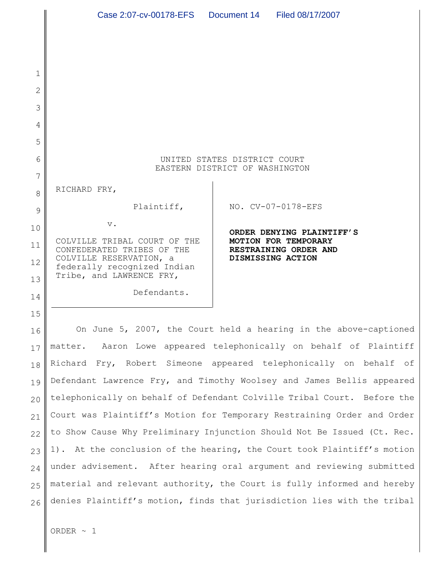|    | Case 2:07-cv-00178-EFS  Document 14  Filed 08/17/2007                   |                                                                         |  |  |  |
|----|-------------------------------------------------------------------------|-------------------------------------------------------------------------|--|--|--|
|    |                                                                         |                                                                         |  |  |  |
|    |                                                                         |                                                                         |  |  |  |
| 1  |                                                                         |                                                                         |  |  |  |
| 2  |                                                                         |                                                                         |  |  |  |
| 3  |                                                                         |                                                                         |  |  |  |
| 4  |                                                                         |                                                                         |  |  |  |
| 5  |                                                                         |                                                                         |  |  |  |
| 6  | UNITED STATES DISTRICT COURT<br>EASTERN DISTRICT OF WASHINGTON          |                                                                         |  |  |  |
| 7  |                                                                         |                                                                         |  |  |  |
| 8  | RICHARD FRY,                                                            |                                                                         |  |  |  |
| 9  | Plaintiff,                                                              | NO. CV-07-0178-EFS                                                      |  |  |  |
| 10 | $\mathbf v$ .                                                           | ORDER DENYING PLAINTIFF'S                                               |  |  |  |
| 11 | COLVILLE TRIBAL COURT OF THE<br>CONFEDERATED TRIBES OF THE              | MOTION FOR TEMPORARY<br>RESTRAINING ORDER AND                           |  |  |  |
| 12 | COLVILLE RESERVATION, a<br>federally recognized Indian                  | DISMISSING ACTION                                                       |  |  |  |
| 13 | Tribe, and LAWRENCE FRY,                                                |                                                                         |  |  |  |
| 14 | Defendants.                                                             |                                                                         |  |  |  |
| 15 |                                                                         |                                                                         |  |  |  |
| 16 | On June 5, 2007, the Court held a hearing in the above-captioned        |                                                                         |  |  |  |
| 17 | Aaron Lowe appeared telephonically on behalf of Plaintiff<br>matter.    |                                                                         |  |  |  |
| 18 | Richard Fry, Robert Simeone appeared telephonically on behalf of        |                                                                         |  |  |  |
| 19 | Defendant Lawrence Fry, and Timothy Woolsey and James Bellis appeared   |                                                                         |  |  |  |
| 20 |                                                                         | telephonically on behalf of Defendant Colville Tribal Court. Before the |  |  |  |
| 21 | Court was Plaintiff's Motion for Temporary Restraining Order and Order  |                                                                         |  |  |  |
| 22 |                                                                         | to Show Cause Why Preliminary Injunction Should Not Be Issued (Ct. Rec. |  |  |  |
| 23 |                                                                         | 1). At the conclusion of the hearing, the Court took Plaintiff's motion |  |  |  |
| 24 | under advisement. After hearing oral argument and reviewing submitted   |                                                                         |  |  |  |
| 25 | material and relevant authority, the Court is fully informed and hereby |                                                                         |  |  |  |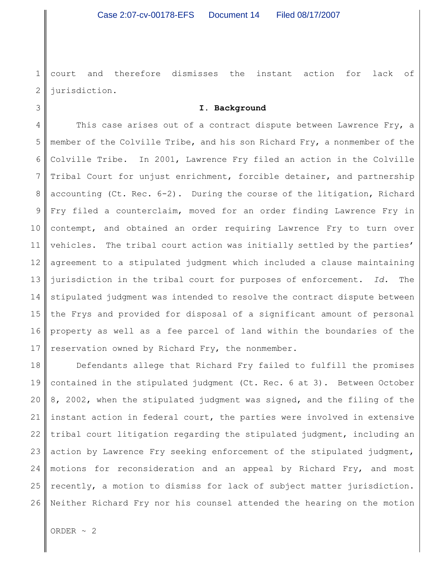1 2 court and therefore dismisses the instant action for lack of jurisdiction.

# **I. Background**

4 5 6 7 8 9 10 11 12 13 14 15 16 17 This case arises out of a contract dispute between Lawrence Fry, a member of the Colville Tribe, and his son Richard Fry, a nonmember of the Colville Tribe. In 2001, Lawrence Fry filed an action in the Colville Tribal Court for unjust enrichment, forcible detainer, and partnership accounting (Ct. Rec. 6-2). During the course of the litigation, Richard Fry filed a counterclaim, moved for an order finding Lawrence Fry in contempt, and obtained an order requiring Lawrence Fry to turn over vehicles. The tribal court action was initially settled by the parties' agreement to a stipulated judgment which included a clause maintaining jurisdiction in the tribal court for purposes of enforcement. *Id.* The stipulated judgment was intended to resolve the contract dispute between the Frys and provided for disposal of a significant amount of personal property as well as a fee parcel of land within the boundaries of the reservation owned by Richard Fry, the nonmember.

18 19 20 21 22 23 24 25 26 Defendants allege that Richard Fry failed to fulfill the promises contained in the stipulated judgment (Ct. Rec. 6 at 3). Between October 8, 2002, when the stipulated judgment was signed, and the filing of the instant action in federal court, the parties were involved in extensive tribal court litigation regarding the stipulated judgment, including an action by Lawrence Fry seeking enforcement of the stipulated judgment, motions for reconsideration and an appeal by Richard Fry, and most recently, a motion to dismiss for lack of subject matter jurisdiction. Neither Richard Fry nor his counsel attended the hearing on the motion

ORDER  $\sim$  2

3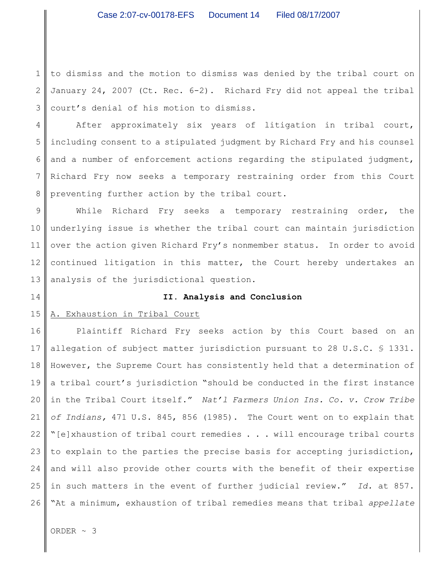1 2 3 to dismiss and the motion to dismiss was denied by the tribal court on January 24, 2007 (Ct. Rec. 6-2). Richard Fry did not appeal the tribal court's denial of his motion to dismiss.

4 5 6 7 8 After approximately six years of litigation in tribal court, including consent to a stipulated judgment by Richard Fry and his counsel and a number of enforcement actions regarding the stipulated judgment, Richard Fry now seeks a temporary restraining order from this Court preventing further action by the tribal court.

9 10 11 12 13 While Richard Fry seeks a temporary restraining order, the underlying issue is whether the tribal court can maintain jurisdiction over the action given Richard Fry's nonmember status. In order to avoid continued litigation in this matter, the Court hereby undertakes an analysis of the jurisdictional question.

### 14

## **II. Analysis and Conclusion**

#### 15 A. Exhaustion in Tribal Court

16 17 18 19 20 21 22 23 24 25 26 Plaintiff Richard Fry seeks action by this Court based on an allegation of subject matter jurisdiction pursuant to 28 U.S.C. § 1331. However, the Supreme Court has consistently held that a determination of a tribal court's jurisdiction "should be conducted in the first instance in the Tribal Court itself." *Nat'l Farmers Union Ins. Co. v. Crow Tribe of Indians,* 471 U.S. 845, 856 (1985). The Court went on to explain that "[e]xhaustion of tribal court remedies . . . will encourage tribal courts to explain to the parties the precise basis for accepting jurisdiction, and will also provide other courts with the benefit of their expertise in such matters in the event of further judicial review." *Id.* at 857. "At a minimum, exhaustion of tribal remedies means that tribal *appellate*

ORDER ~ 3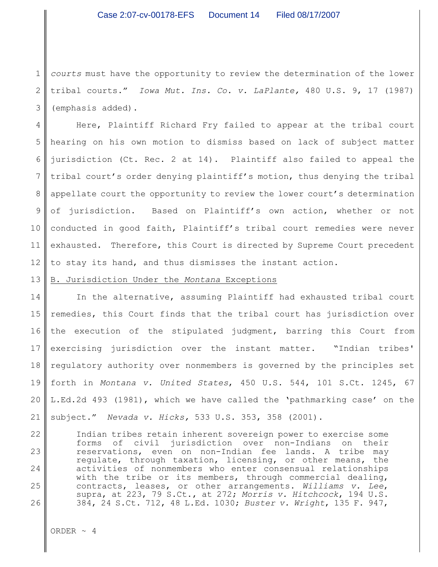1 2 3 *courts* must have the opportunity to review the determination of the lower tribal courts." *Iowa Mut. Ins. Co. v. LaPlante,* 480 U.S. 9, 17 (1987) (emphasis added).

4 5 6 7 8 9 10 11 12 Here, Plaintiff Richard Fry failed to appear at the tribal court hearing on his own motion to dismiss based on lack of subject matter jurisdiction (Ct. Rec. 2 at 14). Plaintiff also failed to appeal the tribal court's order denying plaintiff's motion, thus denying the tribal appellate court the opportunity to review the lower court's determination of jurisdiction. Based on Plaintiff's own action, whether or not conducted in good faith, Plaintiff's tribal court remedies were never exhausted. Therefore, this Court is directed by Supreme Court precedent to stay its hand, and thus dismisses the instant action.

### 13 B. Jurisdiction Under the *Montana* Exceptions

14 15 16 17 18 19 20 21 In the alternative, assuming Plaintiff had exhausted tribal court remedies, this Court finds that the tribal court has jurisdiction over the execution of the stipulated judgment, barring this Court from exercising jurisdiction over the instant matter. "Indian tribes' regulatory authority over nonmembers is governed by the principles set forth in *Montana v. United States*, 450 U.S. 544, 101 S.Ct. 1245, 67 L.Ed.2d 493 (1981), which we have called the 'pathmarking case' on the subject." *Nevada v. Hicks,* 533 U.S. 353, 358 (2001).

22 23 24 25 26 Indian tribes retain inherent sovereign power to exercise some forms of civil jurisdiction over non-Indians on their reservations, even on non-Indian fee lands. A tribe may regulate, through taxation, licensing, or other means, the activities of nonmembers who enter consensual relationships with the tribe or its members, through commercial dealing, contracts, leases, or other arrangements. *Williams v. Lee*, supra, at 223, 79 S.Ct., at 272; *Morris v. Hitchcock*, 194 U.S. 384, 24 S.Ct. 712, 48 L.Ed. 1030; *Buster v. Wright*, 135 F. 947,

ORDER  $\sim$  4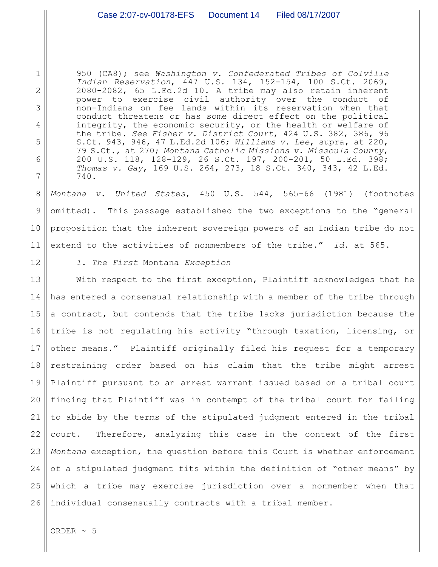950 (CA8); see *Washington v. Confederated Tribes of Colville Indian Reservation*, 447 U.S. 134, 152-154, 100 S.Ct. 2069, 2080-2082, 65 L.Ed.2d 10. A tribe may also retain inherent power to exercise civil authority over the conduct of non-Indians on fee lands within its reservation when that conduct threatens or has some direct effect on the political integrity, the economic security, or the health or welfare of the tribe. *See Fisher v. District Court*, 424 U.S. 382, 386, 96 S.Ct. 943, 946, 47 L.Ed.2d 106; *Williams v. Lee*, supra, at 220, 79 S.Ct., at 270; *Montana Catholic Missions v. Missoula County*, 200 U.S. 118, 128-129, 26 S.Ct. 197, 200-201, 50 L.Ed. 398; *Thomas v. Gay*, 169 U.S. 264, 273, 18 S.Ct. 340, 343, 42 L.Ed. 740.

8 9 10 11 *Montana v. United States*, 450 U.S. 544, 565-66 (1981) (footnotes omitted). This passage established the two exceptions to the "general proposition that the inherent sovereign powers of an Indian tribe do not extend to the activities of nonmembers of the tribe." *Id.* at 565.

12

1

2

3

4

5

6

7

*1. The First* Montana *Exception*

13 14 15 16 17 18 19 20 21 22 23 24 25 26 With respect to the first exception, Plaintiff acknowledges that he has entered a consensual relationship with a member of the tribe through a contract, but contends that the tribe lacks jurisdiction because the tribe is not regulating his activity "through taxation, licensing, or other means." Plaintiff originally filed his request for a temporary restraining order based on his claim that the tribe might arrest Plaintiff pursuant to an arrest warrant issued based on a tribal court finding that Plaintiff was in contempt of the tribal court for failing to abide by the terms of the stipulated judgment entered in the tribal court. Therefore, analyzing this case in the context of the first *Montana* exception, the question before this Court is whether enforcement of a stipulated judgment fits within the definition of "other means" by which a tribe may exercise jurisdiction over a nonmember when that individual consensually contracts with a tribal member.

ORDER  $\sim$  5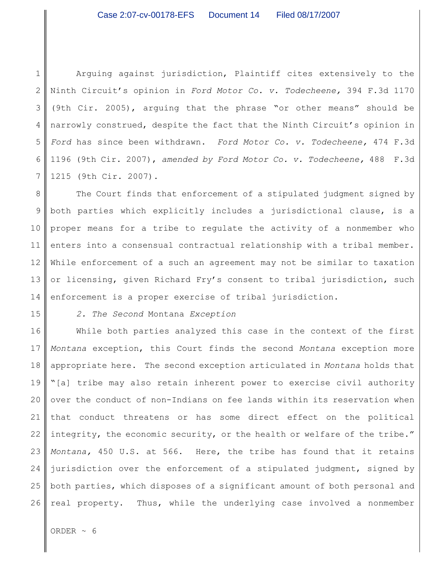1 2 3 4 5 6 7 Arguing against jurisdiction, Plaintiff cites extensively to the Ninth Circuit's opinion in *Ford Motor Co. v. Todecheene,* 394 F.3d 1170 (9th Cir. 2005), arguing that the phrase "or other means" should be narrowly construed, despite the fact that the Ninth Circuit's opinion in *Ford* has since been withdrawn. *Ford Motor Co. v. Todecheene,* 474 F.3d 1196 (9th Cir. 2007), *amended by Ford Motor Co. v. Todecheene,* 488 F.3d 1215 (9th Cir. 2007).

8 9 10 11 12 13 14 The Court finds that enforcement of a stipulated judgment signed by both parties which explicitly includes a jurisdictional clause, is a proper means for a tribe to regulate the activity of a nonmember who enters into a consensual contractual relationship with a tribal member. While enforcement of a such an agreement may not be similar to taxation or licensing, given Richard Fry's consent to tribal jurisdiction, such enforcement is a proper exercise of tribal jurisdiction.

15

*2. The Second* Montana *Exception*

16 17 18 19 20 21 22 23 24 25 26 While both parties analyzed this case in the context of the first *Montana* exception, this Court finds the second *Montana* exception more appropriate here. The second exception articulated in *Montana* holds that "[a] tribe may also retain inherent power to exercise civil authority over the conduct of non-Indians on fee lands within its reservation when that conduct threatens or has some direct effect on the political integrity, the economic security, or the health or welfare of the tribe." *Montana,* 450 U.S. at 566. Here, the tribe has found that it retains jurisdiction over the enforcement of a stipulated judgment, signed by both parties, which disposes of a significant amount of both personal and real property. Thus, while the underlying case involved a nonmember

ORDER  $~\sim~$  6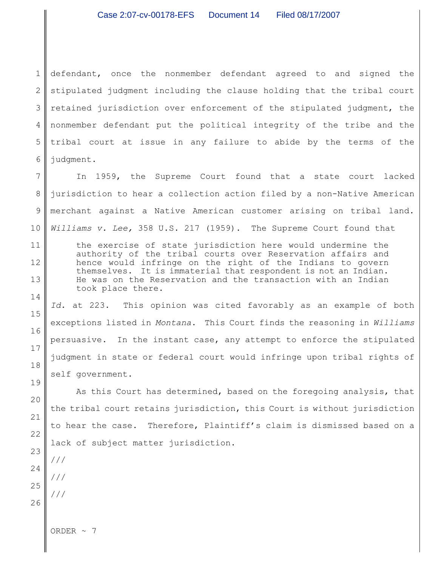1 2 3 4 5 6 defendant, once the nonmember defendant agreed to and signed the stipulated judgment including the clause holding that the tribal court retained jurisdiction over enforcement of the stipulated judgment, the nonmember defendant put the political integrity of the tribe and the tribal court at issue in any failure to abide by the terms of the judgment.

7 8 9 10 In 1959, the Supreme Court found that a state court lacked jurisdiction to hear a collection action filed by a non-Native American merchant against a Native American customer arising on tribal land. *Williams v. Lee,* 358 U.S. 217 (1959). The Supreme Court found that

the exercise of state jurisdiction here would undermine the authority of the tribal courts over Reservation affairs and hence would infringe on the right of the Indians to govern themselves. It is immaterial that respondent is not an Indian. He was on the Reservation and the transaction with an Indian took place there.

*Id.* at 223. This opinion was cited favorably as an example of both exceptions listed in *Montana*. This Court finds the reasoning in *Williams* persuasive. In the instant case, any attempt to enforce the stipulated judgment in state or federal court would infringe upon tribal rights of self government.

As this Court has determined, based on the foregoing analysis, that the tribal court retains jurisdiction, this Court is without jurisdiction to hear the case. Therefore, Plaintiff's claim is dismissed based on a lack of subject matter jurisdiction.

///

///

///

11

12

13

14

15

16

17

18

19

20

ORDER  $\sim$  7